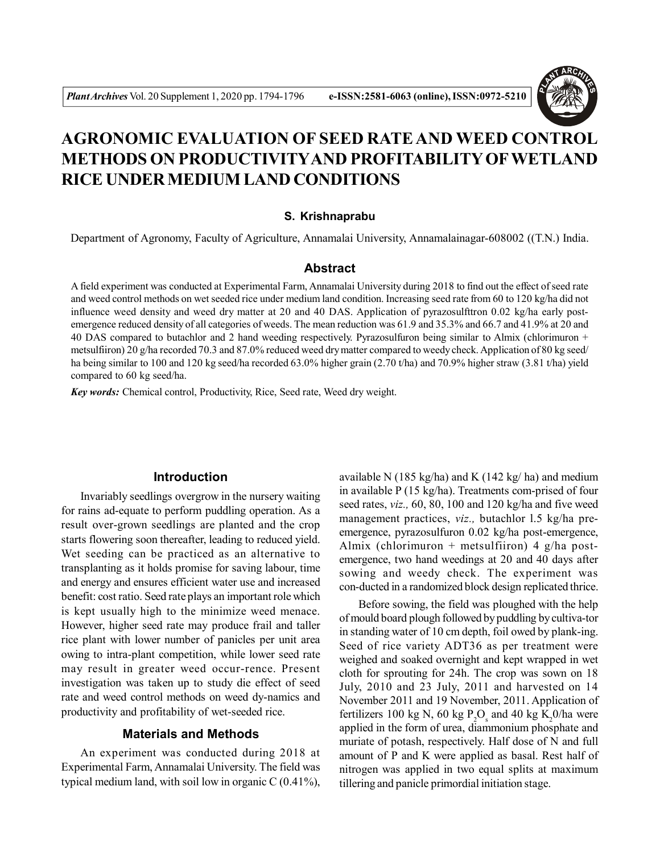

# **AGRONOMIC EVALUATION OF SEED RATE AND WEED CONTROL METHODS ON PRODUCTIVITYAND PROFITABILITY OFWETLAND RICE UNDER MEDIUM LAND CONDITIONS**

#### **S. Krishnaprabu**

Department of Agronomy, Faculty of Agriculture, Annamalai University, Annamalainagar-608002 ((T.N.) India.

## **Abstract**

A field experiment was conducted at Experimental Farm, Annamalai University during 2018 to find out the effect of seed rate and weed control methods on wet seeded rice under medium land condition. Increasing seed rate from 60 to 120 kg/ha did not influence weed density and weed dry matter at 20 and 40 DAS. Application of pyrazosulfttron 0.02 kg/ha early postemergence reduced density of all categories of weeds. The mean reduction was 61.9 and 35.3% and 66.7 and 41.9% at 20 and 40 DAS compared to butachlor and 2 hand weeding respectively. Pyrazosulfuron being similar to Almix (chlorimuron + metsulfiiron) 20 g/ha recorded 70.3 and 87.0% reduced weed dry matter compared to weedy check. Application of 80 kg seed/ ha being similar to 100 and 120 kg seed/ha recorded 63.0% higher grain (2.70 t/ha) and 70.9% higher straw (3.81 t/ha) yield compared to 60 kg seed/ha.

*Key words:* Chemical control, Productivity, Rice, Seed rate, Weed dry weight.

#### **Introduction**

Invariably seedlings overgrow in the nursery waiting for rains ad-equate to perform puddling operation. As a result over-grown seedlings are planted and the crop starts flowering soon thereafter, leading to reduced yield. Wet seeding can be practiced as an alternative to transplanting as it holds promise for saving labour, time and energy and ensures efficient water use and increased benefit: cost ratio. Seed rate plays an important role which is kept usually high to the minimize weed menace. However, higher seed rate may produce frail and taller rice plant with lower number of panicles per unit area owing to intra-plant competition, while lower seed rate may result in greater weed occur-rence. Present investigation was taken up to study die effect of seed rate and weed control methods on weed dy-namics and productivity and profitability of wet-seeded rice.

## **Materials and Methods**

An experiment was conducted during 2018 at Experimental Farm, Annamalai University. The field was typical medium land, with soil low in organic C (0.41%), available N (185 kg/ha) and K (142 kg/ ha) and medium in available  $P(15 \text{ kg/ha})$ . Treatments com-prised of four seed rates, *viz.,* 60, 80, 100 and 120 kg/ha and five weed management practices, *viz.,* butachlor l.5 kg/ha preemergence, pyrazosulfuron 0.02 kg/ha post-emergence, Almix (chlorimuron + metsulfiiron) 4 g/ha postemergence, two hand weedings at 20 and 40 days after sowing and weedy check. The experiment was con-ducted in a randomized block design replicated thrice.

Before sowing, the field was ploughed with the help of mould board plough followed by puddling by cultiva-tor in standing water of 10 cm depth, foil owed by plank-ing. Seed of rice variety ADT36 as per treatment were weighed and soaked overnight and kept wrapped in wet cloth for sprouting for 24h. The crop was sown on 18 July, 2010 and 23 July, 2011 and harvested on 14 November 2011 and 19 November, 2011. Application of fertilizers 100 kg N, 60 kg  $P_2O_s$  and 40 kg K<sub>2</sub>0/ha were applied in the form of urea, diammonium phosphate and muriate of potash, respectively. Half dose of N and full amount of P and K were applied as basal. Rest half of nitrogen was applied in two equal splits at maximum tillering and panicle primordial initiation stage.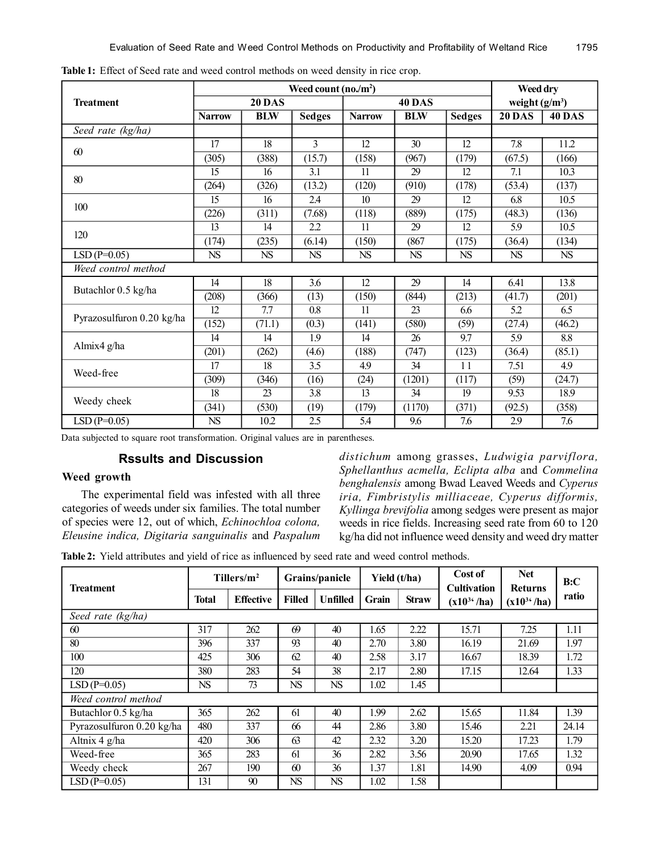|                           | Weed count $(no./m^2)$ |            |                  |                  |                 |                 |                  | Weed dry      |  |  |
|---------------------------|------------------------|------------|------------------|------------------|-----------------|-----------------|------------------|---------------|--|--|
| <b>Treatment</b>          | <b>20 DAS</b>          |            |                  | <b>40 DAS</b>    |                 |                 | weight $(g/m^3)$ |               |  |  |
|                           | <b>Narrow</b>          | <b>BLW</b> | <b>Sedges</b>    | <b>Narrow</b>    | <b>BIM</b>      | <b>Sedges</b>   | <b>20 DAS</b>    | <b>40 DAS</b> |  |  |
| Seed rate (kg/ha)         |                        |            |                  |                  |                 |                 |                  |               |  |  |
| 60                        | 17                     | 18         | 3                | $\overline{12}$  | $\overline{30}$ | $\overline{12}$ | $\overline{7.8}$ | 11.2          |  |  |
|                           | (305)                  | (388)      | (15.7)           | (158)            | (967)           | (179)           | (67.5)           | (166)         |  |  |
| 80                        | 15                     | 16         | 3.1              | 11               | 29              | 12              | 7.1              | 10.3          |  |  |
|                           | (264)                  | (326)      | (13.2)           | (120)            | (910)           | (178)           | (53.4)           | (137)         |  |  |
| 100                       | 15                     | 16         | 2.4              | 10 <sup>10</sup> | 29              | 12              | 6.8              | 10.5          |  |  |
|                           | (226)                  | (311)      | (7.68)           | (118)            | (889)           | (175)           | (48.3)           | (136)         |  |  |
| 120                       | 13                     | 14         | 2.2              | 11               | 29              | 12              | 5.9              | 10.5          |  |  |
|                           | (174)                  | (235)      | (6.14)           | (150)            | (867)           | (175)           | (36.4)           | (134)         |  |  |
| $LSD(P=0.05)$             | NS                     | ${\rm NS}$ | NS               | <b>NS</b>        | <b>NS</b>       | <b>NS</b>       | <b>NS</b>        | <b>NS</b>     |  |  |
| Weed control method       |                        |            |                  |                  |                 |                 |                  |               |  |  |
| Butachlor 0.5 kg/ha       | 14                     | 18         | 3.6              | 12               | 29              | 14              | 6.41             | 13.8          |  |  |
|                           | (208)                  | (366)      | (13)             | (150)            | (844)           | (213)           | (41.7)           | (201)         |  |  |
| Pyrazosulfuron 0.20 kg/ha | 12                     | 7.7        | 0.8              | 11               | 23              | 6.6             | 5.2              | 6.5           |  |  |
|                           | (152)                  | (71.1)     | (0.3)            | (141)            | (580)           | (59)            | (27.4)           | (46.2)        |  |  |
| Almix4 g/ha               | 14                     | 14         | 1.9              | 14               | 26              | 9.7             | 5.9              | 8.8           |  |  |
|                           | (201)                  | (262)      | (4.6)            | (188)            | (747)           | (123)           | (36.4)           | (85.1)        |  |  |
| Weed-free                 | 17                     | 18         | 3.5              | 4.9              | 34              | 11              | 7.51             | 49            |  |  |
|                           | (309)                  | (346)      | (16)             | (24)             | (1201)          | (117)           | (59)             | (24.7)        |  |  |
| Weedy cheek               | $\overline{18}$        | 23         | $\overline{3.8}$ | $\overline{13}$  | $\overline{34}$ | 19              | 9.53             | 18.9          |  |  |
|                           | (341)                  | (530)      | (19)             | (179)            | (1170)          | (371)           | (92.5)           | (358)         |  |  |
| $LSD(P=0.05)$             | NS                     | 10.2       | 2.5              | 5.4              | 9.6             | 7.6             | 2.9              | 7.6           |  |  |

**Table 1:** Effect of Seed rate and weed control methods on weed density in rice crop.

Data subjected to square root transformation. Original values are in parentheses.

# **Rssults and Discussion**

# **Weed growth**

The experimental field was infested with all three categories of weeds under six families. The total number of species were 12, out of which, *Echinochloa colona, Eleusine indica, Digitaria sanguinalis* and *Paspalum*

*distichum* among grasses, *Ludwigia parviflora, Sphellanthus acmella, Eclipta alba* and *Commelina benghalensis* among Bwad Leaved Weeds and *Cyperus iria, Fimbristylis milliaceae, Cyperus difformis, Kyllinga brevifolia* among sedges were present as major weeds in rice fields. Increasing seed rate from 60 to 120 kg/ha did not influence weed density and weed dry matter

**Table 2:** Yield attributes and yield of rice as influenced by seed rate and weed control methods.

| Treatment                 | Tillers/ $m^2$ |                  | Grains/panicle |                 | Yield (t/ha) |              | Cost of<br><b>Cultivation</b> | <b>Net</b><br><b>Returns</b> | B:C   |  |  |  |
|---------------------------|----------------|------------------|----------------|-----------------|--------------|--------------|-------------------------------|------------------------------|-------|--|--|--|
|                           | <b>Total</b>   | <b>Effective</b> | <b>Filled</b>  | <b>Unfilled</b> | Grain        | <b>Straw</b> | $(x10^{34}/ha)$               | $(x10^{34}/ha)$              | ratio |  |  |  |
| Seed rate (kg/ha)         |                |                  |                |                 |              |              |                               |                              |       |  |  |  |
| 60                        | 317            | 262              | 69             | 40              | 1.65         | 2.22         | 15.71                         | 7.25                         | 1.11  |  |  |  |
| 80                        | 396            | 337              | 93             | 40              | 2.70         | 3.80         | 16.19                         | 21.69                        | 1.97  |  |  |  |
| 100                       | 425            | 306              | 62             | 40              | 2.58         | 3.17         | 16.67                         | 18.39                        | 1.72  |  |  |  |
| 120                       | 380            | 283              | 54             | 38              | 2.17         | 2.80         | 17.15                         | 12.64                        | 1.33  |  |  |  |
| $LSD(P=0.05)$             | <b>NS</b>      | 73               | <b>NS</b>      | <b>NS</b>       | 1.02         | 1.45         |                               |                              |       |  |  |  |
| Weed control method       |                |                  |                |                 |              |              |                               |                              |       |  |  |  |
| Butachlor 0.5 kg/ha       | 365            | 262              | 61             | 40              | 1.99         | 2.62         | 15.65                         | 11.84                        | 1.39  |  |  |  |
| Pyrazosulfuron 0.20 kg/ha | 480            | 337              | 66             | 44              | 2.86         | 3.80         | 15.46                         | 2.21                         | 24.14 |  |  |  |
| Altnix 4 $g/ha$           | 420            | 306              | 63             | 42              | 2.32         | 3.20         | 15.20                         | 17.23                        | 1.79  |  |  |  |
| Weed-free                 | 365            | 283              | 61             | 36              | 2.82         | 3.56         | 20.90                         | 17.65                        | 1.32  |  |  |  |
| Weedy check               | 267            | 190              | 60             | 36              | 1.37         | 1.81         | 14.90                         | 4.09                         | 0.94  |  |  |  |
| $LSD(P=0.05)$             | 131            | 90               | <b>NS</b>      | <b>NS</b>       | 1.02         | 1.58         |                               |                              |       |  |  |  |